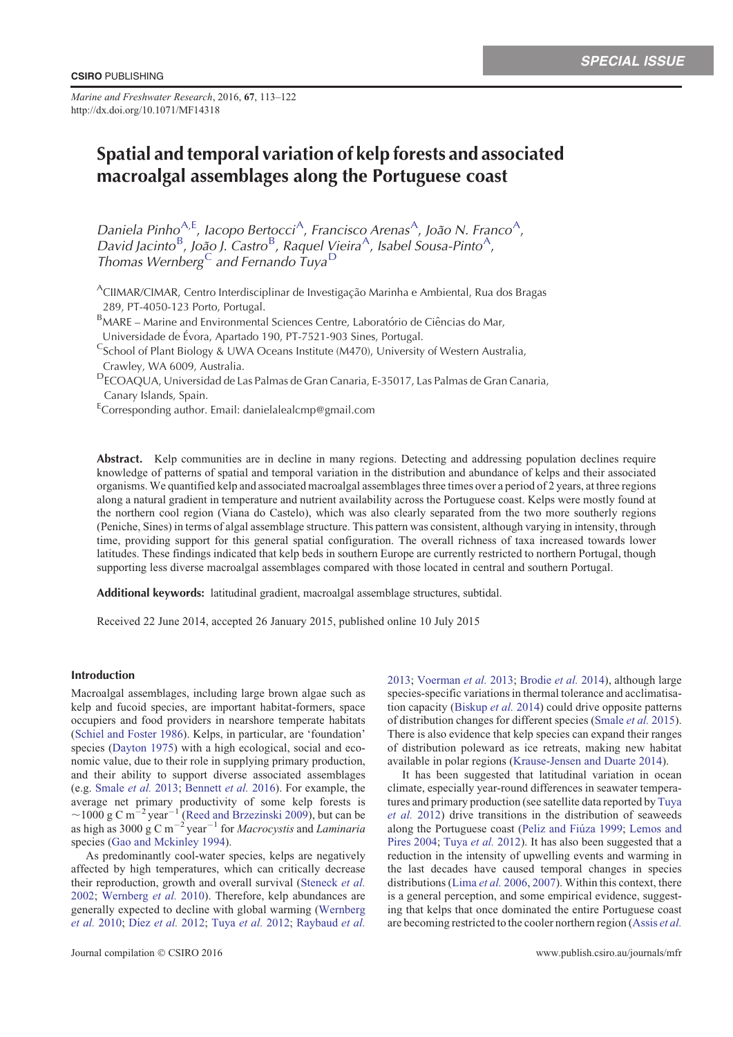*Marine and Freshwater Research*, 2016, **67**, 113–122 http://dx.doi.org/10.1071/MF14318

# Spatial and temporal variation of kelp forests and associated macroalgal assemblages along the Portuguese coast

Daniela Pinho $^{\mathsf{A},\mathsf{E}}$ , Iacopo Bertocci $^{\mathsf{A}}$ , Francisco Arenas $^{\mathsf{A}}$ , João N. Franco $^{\mathsf{A}}$ , David Jacinto<sup>B</sup>, João J. Castro<sup>B</sup>, Raquel Vieira<sup>A</sup>, Isabel Sousa-Pinto<sup>A</sup>, Thomas Wernberg<sup>C</sup> and Fernando  $T_{UVa}^D$ 

ACIIMAR/CIMAR, Centro Interdisciplinar de Investigação Marinha e Ambiental, Rua dos Bragas 289, PT-4050-123 Porto, Portugal.

BMARE – Marine and Environmental Sciences Centre, Laboratório de Ciências do Mar,

Universidade de Évora, Apartado 190, PT-7521-903 Sines, Portugal.

 $\text{C}$ School of Plant Biology & UWA Oceans Institute (M470), University of Western Australia, Crawley, WA 6009, Australia.

DECOAQUA, Universidad de Las Palmas de Gran Canaria, E-35017, Las Palmas de Gran Canaria, Canary Islands, Spain.

<sup>E</sup>Corresponding author. Email: danielalealcmp@gmail.com

Abstract. Kelp communities are in decline in many regions. Detecting and addressing population declines require knowledge of patterns of spatial and temporal variation in the distribution and abundance of kelps and their associated organisms. We quantified kelp and associated macroalgal assemblages three times over a period of 2 years, at three regions along a natural gradient in temperature and nutrient availability across the Portuguese coast. Kelps were mostly found at the northern cool region (Viana do Castelo), which was also clearly separated from the two more southerly regions (Peniche, Sines) in terms of algal assemblage structure. This pattern was consistent, although varying in intensity, through time, providing support for this general spatial configuration. The overall richness of taxa increased towards lower latitudes. These findings indicated that kelp beds in southern Europe are currently restricted to northern Portugal, though supporting less diverse macroalgal assemblages compared with those located in central and southern Portugal.

Additional keywords: latitudinal gradient, macroalgal assemblage structures, subtidal.

Received 22 June 2014, accepted 26 January 2015, published online 10 July 2015

## Introduction

Macroalgal assemblages, including large brown algae such as kelp and fucoid species, are important habitat-formers, space occupiers and food providers in nearshore temperate habitats ([Schiel and Foster 1986\)](#page-9-0). Kelps, in particular, are 'foundation' species [\(Dayton 1975](#page-8-0)) with a high ecological, social and economic value, due to their role in supplying primary production, and their ability to support diverse associated assemblages (e.g. [Smale](#page-9-0) *et al.* 2013; [Bennett](#page-8-0) *et al.* 2016). For example, the average net primary productivity of some kelp forests is  $\sim$ 1000 g C m<sup>-2</sup> year<sup>-1</sup> [\(Reed and Brzezinski 2009](#page-9-0)), but can be as high as 3000 g C m<sup>-2</sup> year<sup>-1</sup> for *Macrocystis* and *Laminaria* species ([Gao and Mckinley 1994\)](#page-8-0).

As predominantly cool-water species, kelps are negatively affected by high temperatures, which can critically decrease their reproduction, growth and overall survival [\(Steneck](#page-9-0) *et al.* [2002;](#page-9-0) [Wernberg](#page-9-0) *et al.* 2010). Therefore, kelp abundances are generally expected to decline with global warming ([Wernberg](#page-9-0) *[et al.](#page-9-0)* 2010; Díez *et al.* 2012; Tuya *et al.* 2012; [Raybaud](#page-9-0) *et al.* 

along the Portuguese coast (Peliz and Fiúza 1999; [Lemos and](#page-8-0) [Pires 2004](#page-8-0); [Tuya](#page-9-0) *et al.* 2012). It has also been suggested that a reduction in the intensity of upwelling events and warming in the last decades have caused temporal changes in species distributions [\(Lima](#page-8-0) *et al.* 2006, [2007\)](#page-8-0). Within this context, there is a general perception, and some empirical evidence, suggest-

ing that kelps that once dominated the entire Portuguese coast are becoming restricted to the cooler northern region ([Assis](#page-8-0) *et al.*

[2013;](#page-9-0) [Voerman](#page-9-0) *et al.* 2013; [Brodie](#page-8-0) *et al.* 2014), although large species-specific variations in thermal tolerance and acclimatisation capacity [\(Biskup](#page-8-0) *et al.* 2014) could drive opposite patterns of distribution changes for different species [\(Smale](#page-9-0) *et al.* 2015). There is also evidence that kelp species can expand their ranges of distribution poleward as ice retreats, making new habitat available in polar regions [\(Krause-Jensen and Duarte 2014](#page-8-0)). It has been suggested that latitudinal variation in ocean climate, especially year-round differences in seawater temperatures and primary production (see satellite data reported by [Tuya](#page-9-0) *[et al.](#page-9-0)* 2012) drive transitions in the distribution of seaweeds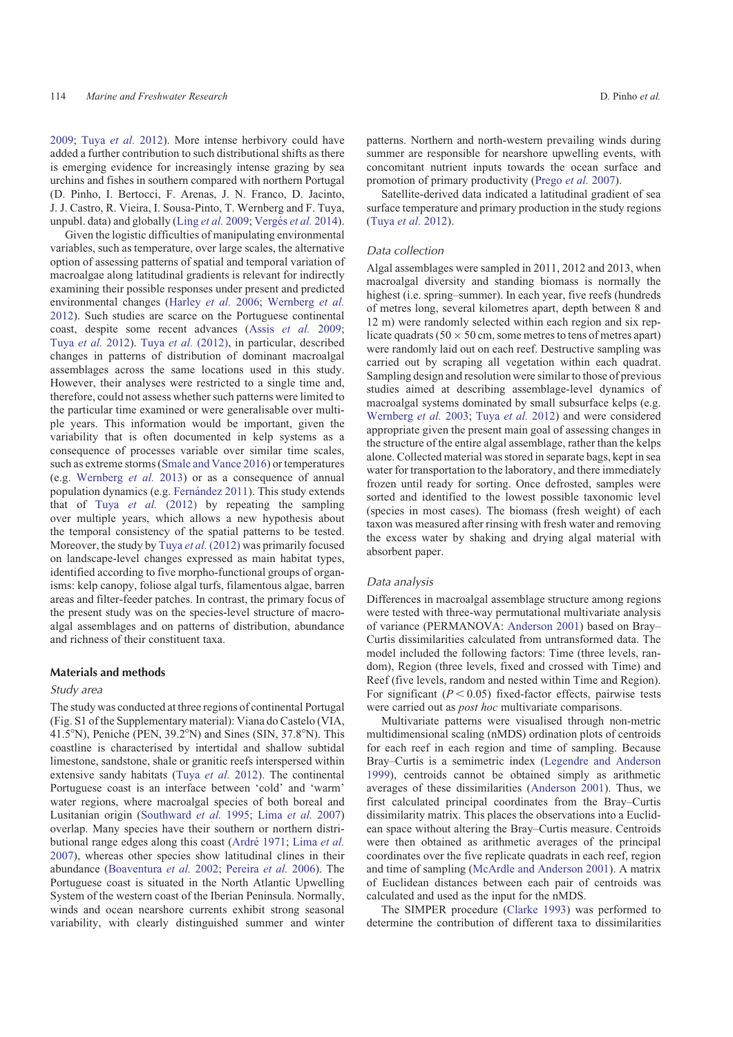[2009;](#page-8-0) Tuya *[et al.](#page-9-0)* 2012). More intense herbivory could have added a further contribution to such distributional shifts as there is emerging evidence for increasingly intense grazing by sea urchins and fishes in southern compared with northern Portugal (D. Pinho, I. Bertocci, F. Arenas, J. N. Franco, D. Jacinto, J. J. Castro, R. Vieira, I. Sousa-Pinto, T. Wernberg and F. Tuya, unpubl. data) and globally (Ling *et al.* [2009](#page-8-0); Vergés *et al.* 2014).

Given the logistic difficulties of manipulating environmental variables, such as temperature, over large scales, the alternative option of assessing patterns of spatial and temporal variation of macroalgae along latitudinal gradients is relevant for indirectly examining their possible responses under present and predicted environmental changes [\(Harley](#page-8-0) *et al.* 2006; [Wernberg](#page-9-0) *et al.* [2012\)](#page-9-0). Such studies are scarce on the Portuguese continental coast, despite some recent advances (Assis *[et al.](#page-8-0)* 2009; Tuya *[et al.](#page-9-0)* 2012). Tuya *et al.* [\(2012\)](#page-9-0), in particular, described changes in patterns of distribution of dominant macroalgal assemblages across the same locations used in this study. However, their analyses were restricted to a single time and, therefore, could not assess whether such patterns were limited to the particular time examined or were generalisable over multiple years. This information would be important, given the variability that is often documented in kelp systems as a consequence of processes variable over similar time scales, such as extreme storms [\(Smale and Vance 2016\)](#page-9-0) or temperatures (e.g. [Wernberg](#page-9-0) *et al.* 2013) or as a consequence of annual population dynamics (e.g. Fernández 2011). This study extends that of Tuya *et al.* [\(2012\)](#page-9-0) by repeating the sampling over multiple years, which allows a new hypothesis about the temporal consistency of the spatial patterns to be tested. Moreover, the study by Tuya *et al.* [\(2012\)](#page-9-0) was primarily focused on landscape-level changes expressed as main habitat types, identified according to five morpho-functional groups of organisms: kelp canopy, foliose algal turfs, filamentous algae, barren areas and filter-feeder patches. In contrast, the primary focus of the present study was on the species-level structure of macroalgal assemblages and on patterns of distribution, abundance and richness of their constituent taxa.

#### Materials and methods

## Study area

The study was conducted at three regions of continental Portugal (Fig. S1 of the Supplementary material): Viana do Castelo (VIA, 41.5°N), Peniche (PEN, 39.2°N) and Sines (SIN, 37.8°N). This coastline is characterised by intertidal and shallow subtidal limestone, sandstone, shale or granitic reefs interspersed within extensive sandy habitats (Tuya *[et al.](#page-9-0)* 2012). The continental Portuguese coast is an interface between 'cold' and 'warm' water regions, where macroalgal species of both boreal and Lusitanian origin ([Southward](#page-9-0) *et al.* 1995; Lima *[et al.](#page-8-0)* 2007) overlap. Many species have their southern or northern distributional range edges along this coast ([Ardre´ 1971](#page-8-0); [Lima](#page-8-0) *et al.* [2007\)](#page-8-0), whereas other species show latitudinal clines in their abundance [\(Boaventura](#page-8-0) *et al.* 2002; [Pereira](#page-8-0) *et al.* 2006). The Portuguese coast is situated in the North Atlantic Upwelling System of the western coast of the Iberian Peninsula. Normally, winds and ocean nearshore currents exhibit strong seasonal variability, with clearly distinguished summer and winter patterns. Northern and north-western prevailing winds during summer are responsible for nearshore upwelling events, with concomitant nutrient inputs towards the ocean surface and promotion of primary productivity ([Prego](#page-9-0) *et al.* 2007).

Satellite-derived data indicated a latitudinal gradient of sea surface temperature and primary production in the study regions [\(Tuya](#page-9-0) *et al.* 2012).

#### Data collection

Algal assemblages were sampled in 2011, 2012 and 2013, when macroalgal diversity and standing biomass is normally the highest (i.e. spring–summer). In each year, five reefs (hundreds of metres long, several kilometres apart, depth between 8 and 12 m) were randomly selected within each region and six replicate quadrats (50  $\times$  50 cm, some metres to tens of metres apart) were randomly laid out on each reef. Destructive sampling was carried out by scraping all vegetation within each quadrat. Sampling design and resolution were similar to those of previous studies aimed at describing assemblage-level dynamics of macroalgal systems dominated by small subsurface kelps (e.g. [Wernberg](#page-9-0) *et al.* 2003; Tuya *[et al.](#page-9-0)* 2012) and were considered appropriate given the present main goal of assessing changes in the structure of the entire algal assemblage, rather than the kelps alone. Collected material was stored in separate bags, kept in sea water for transportation to the laboratory, and there immediately frozen until ready for sorting. Once defrosted, samples were sorted and identified to the lowest possible taxonomic level (species in most cases). The biomass (fresh weight) of each taxon was measured after rinsing with fresh water and removing the excess water by shaking and drying algal material with absorbent paper.

#### Data analysis

Differences in macroalgal assemblage structure among regions were tested with three-way permutational multivariate analysis of variance (PERMANOVA: [Anderson 2001\)](#page-8-0) based on Bray– Curtis dissimilarities calculated from untransformed data. The model included the following factors: Time (three levels, random), Region (three levels, fixed and crossed with Time) and Reef (five levels, random and nested within Time and Region). For significant  $(P < 0.05)$  fixed-factor effects, pairwise tests were carried out as *post hoc* multivariate comparisons.

Multivariate patterns were visualised through non-metric multidimensional scaling (nMDS) ordination plots of centroids for each reef in each region and time of sampling. Because Bray–Curtis is a semimetric index [\(Legendre and Anderson](#page-8-0) [1999\)](#page-8-0), centroids cannot be obtained simply as arithmetic averages of these dissimilarities [\(Anderson 2001](#page-8-0)). Thus, we first calculated principal coordinates from the Bray–Curtis dissimilarity matrix. This places the observations into a Euclidean space without altering the Bray–Curtis measure. Centroids were then obtained as arithmetic averages of the principal coordinates over the five replicate quadrats in each reef, region and time of sampling [\(McArdle and Anderson 2001\)](#page-8-0). A matrix of Euclidean distances between each pair of centroids was calculated and used as the input for the nMDS.

The SIMPER procedure ([Clarke 1993](#page-8-0)) was performed to determine the contribution of different taxa to dissimilarities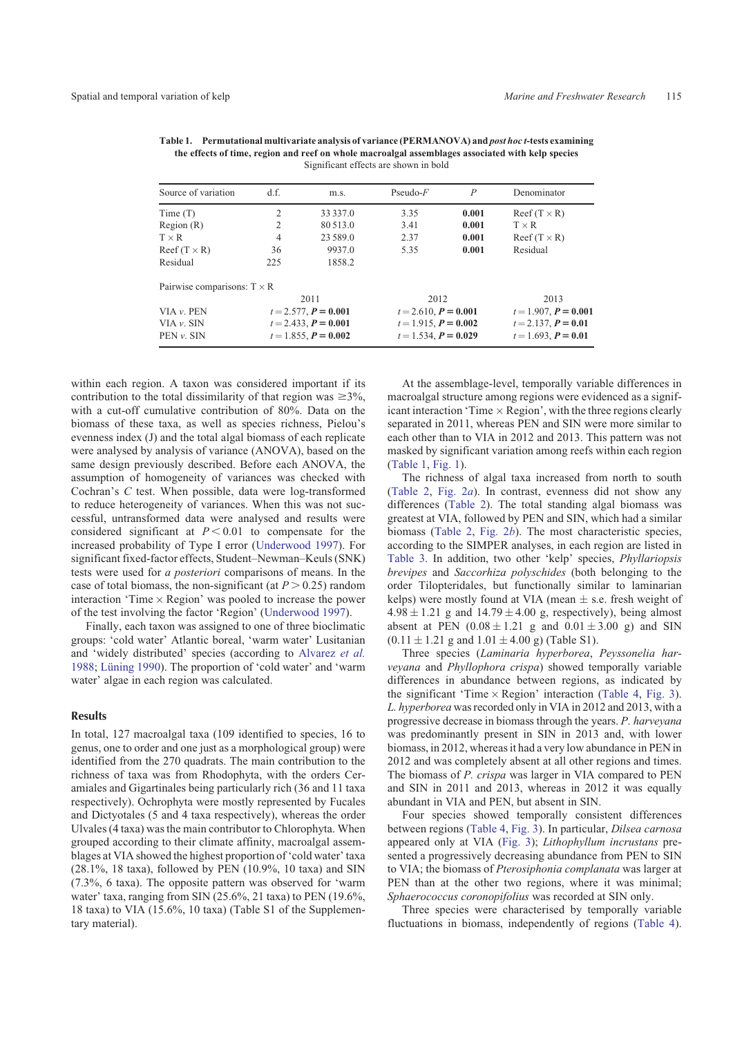| Source of variation                | d.f.           | m.s.                      | $Pseudo-F$                | $\overline{P}$ | Denominator              |
|------------------------------------|----------------|---------------------------|---------------------------|----------------|--------------------------|
| Time(T)                            | 2              | 33 33 7.0                 | 3.35                      | 0.001          | Reef $(T \times R)$      |
| Region(R)                          | 2              | 80 513.0                  | 3.41                      | 0.001          | $T \times R$             |
| $T \times R$                       | $\overline{4}$ | 23 589.0                  | 2.37                      | 0.001          | $Reef(T \times R)$       |
| Reef $(T \times R)$                | 36             | 9937.0                    | 5.35                      | 0.001          | Residual                 |
| Residual                           | 225            | 1858.2                    |                           |                |                          |
| Pairwise comparisons: $T \times R$ |                |                           |                           |                |                          |
|                                    |                | 2011                      | 2012                      |                | 2013                     |
| $VIA$ v. $PEN$                     |                | $t = 2.577$ , $P = 0.001$ | $t = 2.610$ , $P = 0.001$ |                | $t = 1.907, P = 0.001$   |
| VIA $\nu$ . SIN                    |                | $t = 2.433$ , $P = 0.001$ | $t = 1.915, P = 0.002$    |                | $t = 2.137$ , $P = 0.01$ |
| PENv. SIM                          |                | $t = 1.855$ , $P = 0.002$ | $t = 1.534$ , $P = 0.029$ |                | $t = 1.693$ , $P = 0.01$ |

<span id="page-2-0"></span>**Table 1. Permutational multivariate analysis of variance (PERMANOVA) and post hoc t-tests examining the effects of time, region and reef on whole macroalgal assemblages associated with kelp species** Significant effects are shown in bold

within each region. A taxon was considered important if its contribution to the total dissimilarity of that region was  $\geq 3\%$ , with a cut-off cumulative contribution of 80%. Data on the biomass of these taxa, as well as species richness, Pielou's evenness index (J) and the total algal biomass of each replicate were analysed by analysis of variance (ANOVA), based on the same design previously described. Before each ANOVA, the assumption of homogeneity of variances was checked with Cochran's *C* test. When possible, data were log-transformed to reduce heterogeneity of variances. When this was not successful, untransformed data were analysed and results were considered significant at  $P < 0.01$  to compensate for the increased probability of Type I error ([Underwood 1997\)](#page-9-0). For significant fixed-factor effects, Student–Newman–Keuls (SNK) tests were used for *a posteriori* comparisons of means. In the case of total biomass, the non-significant (at  $P > 0.25$ ) random interaction 'Time  $\times$  Region' was pooled to increase the power of the test involving the factor 'Region' ([Underwood 1997\)](#page-9-0).

Finally, each taxon was assigned to one of three bioclimatic groups: 'cold water' Atlantic boreal, 'warm water' Lusitanian and 'widely distributed' species (according to [Alvarez](#page-8-0) *et al.* [1988;](#page-8-0) Lüning 1990). The proportion of 'cold water' and 'warm water' algae in each region was calculated.

## Results

In total, 127 macroalgal taxa (109 identified to species, 16 to genus, one to order and one just as a morphological group) were identified from the 270 quadrats. The main contribution to the richness of taxa was from Rhodophyta, with the orders Ceramiales and Gigartinales being particularly rich (36 and 11 taxa respectively). Ochrophyta were mostly represented by Fucales and Dictyotales (5 and 4 taxa respectively), whereas the order Ulvales (4 taxa) was the main contributor to Chlorophyta. When grouped according to their climate affinity, macroalgal assemblages at VIA showed the highest proportion of 'cold water' taxa (28.1%, 18 taxa), followed by PEN (10.9%, 10 taxa) and SIN (7.3%, 6 taxa). The opposite pattern was observed for 'warm water' taxa, ranging from SIN (25.6%, 21 taxa) to PEN (19.6%, 18 taxa) to VIA (15.6%, 10 taxa) (Table S1 of the Supplementary material).

At the assemblage-level, temporally variable differences in macroalgal structure among regions were evidenced as a significant interaction 'Time  $\times$  Region', with the three regions clearly separated in 2011, whereas PEN and SIN were more similar to each other than to VIA in 2012 and 2013. This pattern was not masked by significant variation among reefs within each region (Table 1, [Fig. 1\)](#page-3-0).

The richness of algal taxa increased from north to south ([Table 2,](#page-4-0) [Fig. 2](#page-4-0)*a*). In contrast, evenness did not show any differences [\(Table 2\)](#page-4-0). The total standing algal biomass was greatest at VIA, followed by PEN and SIN, which had a similar biomass [\(Table 2,](#page-4-0) [Fig. 2](#page-4-0)*b*). The most characteristic species, according to the SIMPER analyses, in each region are listed in [Table 3](#page-4-0). In addition, two other 'kelp' species, *Phyllariopsis brevipes* and *Saccorhiza polyschides* (both belonging to the order Tilopteridales, but functionally similar to laminarian kelps) were mostly found at VIA (mean  $\pm$  s.e. fresh weight of  $4.98 \pm 1.21$  g and  $14.79 \pm 4.00$  g, respectively), being almost absent at PEN  $(0.08 \pm 1.21 \text{ g}$  and  $(0.01 \pm 3.00 \text{ g})$  and SIN  $(0.11 \pm 1.21 \text{ g and } 1.01 \pm 4.00 \text{ g})$  (Table S1).

Three species (*Laminaria hyperborea*, *Peyssonelia harveyana* and *Phyllophora crispa*) showed temporally variable differences in abundance between regions, as indicated by the significant 'Time  $\times$  Region' interaction [\(Table 4](#page-5-0), [Fig. 3](#page-6-0)). *L. hyperborea* was recorded only in VIA in 2012 and 2013, with a progressive decrease in biomass through the years. *P. harveyana* was predominantly present in SIN in 2013 and, with lower biomass, in 2012, whereas it had a very low abundance in PEN in 2012 and was completely absent at all other regions and times. The biomass of *P. crispa* was larger in VIA compared to PEN and SIN in 2011 and 2013, whereas in 2012 it was equally abundant in VIA and PEN, but absent in SIN.

Four species showed temporally consistent differences between regions [\(Table 4,](#page-5-0) [Fig. 3](#page-6-0)). In particular, *Dilsea carnosa* appeared only at VIA ([Fig. 3](#page-6-0)); *Lithophyllum incrustans* presented a progressively decreasing abundance from PEN to SIN to VIA; the biomass of *Pterosiphonia complanata* was larger at PEN than at the other two regions, where it was minimal; *Sphaerococcus coronopifolius* was recorded at SIN only.

Three species were characterised by temporally variable fluctuations in biomass, independently of regions ([Table 4](#page-5-0)).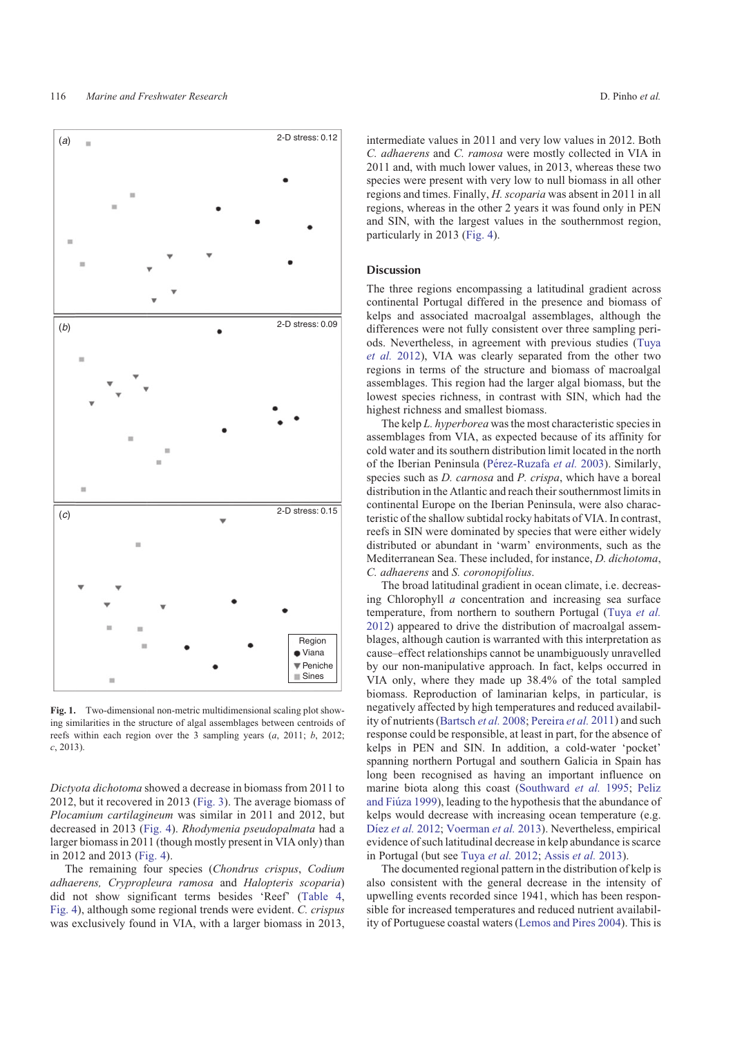<span id="page-3-0"></span>

**Fig. 1.** Two-dimensional non-metric multidimensional scaling plot showing similarities in the structure of algal assemblages between centroids of reefs within each region over the 3 sampling years (*a*, 2011; *b*, 2012; *c*, 2013).

*Dictyota dichotoma* showed a decrease in biomass from 2011 to 2012, but it recovered in 2013 [\(Fig. 3](#page-6-0)). The average biomass of *Plocamium cartilagineum* was similar in 2011 and 2012, but decreased in 2013 ([Fig. 4](#page-7-0)). *Rhodymenia pseudopalmata* had a larger biomass in 2011 (though mostly present in VIA only) than in 2012 and 2013 ([Fig. 4\)](#page-7-0).

The remaining four species (*Chondrus crispus*, *Codium adhaerens, Crypropleura ramosa* and *Halopteris scoparia*) did not show significant terms besides 'Reef' ([Table 4,](#page-5-0) [Fig. 4\)](#page-7-0), although some regional trends were evident. *C. crispus* was exclusively found in VIA, with a larger biomass in 2013, intermediate values in 2011 and very low values in 2012. Both *C. adhaerens* and *C. ramosa* were mostly collected in VIA in 2011 and, with much lower values, in 2013, whereas these two species were present with very low to null biomass in all other regions and times. Finally, *H. scoparia* was absent in 2011 in all regions, whereas in the other 2 years it was found only in PEN and SIN, with the largest values in the southernmost region, particularly in 2013 ([Fig. 4\)](#page-7-0).

# Discussion

The three regions encompassing a latitudinal gradient across continental Portugal differed in the presence and biomass of kelps and associated macroalgal assemblages, although the differences were not fully consistent over three sampling periods. Nevertheless, in agreement with previous studies [\(Tuya](#page-9-0) *[et al.](#page-9-0)* 2012), VIA was clearly separated from the other two regions in terms of the structure and biomass of macroalgal assemblages. This region had the larger algal biomass, but the lowest species richness, in contrast with SIN, which had the highest richness and smallest biomass.

The kelp *L. hyperborea* was the most characteristic species in assemblages from VIA, as expected because of its affinity for cold water and its southern distribution limit located in the north of the Iberian Peninsula (Pérez-Ruzafa et al. 2003). Similarly, species such as *D. carnosa* and *P. crispa*, which have a boreal distribution in the Atlantic and reach their southernmost limits in continental Europe on the Iberian Peninsula, were also characteristic of the shallow subtidal rocky habitats of VIA. In contrast, reefs in SIN were dominated by species that were either widely distributed or abundant in 'warm' environments, such as the Mediterranean Sea. These included, for instance, *D. dichotoma*, *C. adhaerens* and *S. coronopifolius*.

The broad latitudinal gradient in ocean climate, i.e. decreasing Chlorophyll *a* concentration and increasing sea surface temperature, from northern to southern Portugal (Tuya *[et al.](#page-9-0)* [2012\)](#page-9-0) appeared to drive the distribution of macroalgal assemblages, although caution is warranted with this interpretation as cause–effect relationships cannot be unambiguously unravelled by our non-manipulative approach. In fact, kelps occurred in VIA only, where they made up 38.4% of the total sampled biomass. Reproduction of laminarian kelps, in particular, is negatively affected by high temperatures and reduced availability of nutrients [\(Bartsch](#page-8-0) *et al.* 2008; [Pereira](#page-9-0) *et al.* 2011) and such response could be responsible, at least in part, for the absence of kelps in PEN and SIN. In addition, a cold-water 'pocket' spanning northern Portugal and southern Galicia in Spain has long been recognised as having an important influence on marine biota along this coast ([Southward](#page-9-0) *et al.* 1995; [Peliz](#page-8-0) and Fiúza 1999), leading to the hypothesis that the abundance of kelps would decrease with increasing ocean temperature (e.g. Díez et al. [2012;](#page-8-0) [Voerman](#page-9-0) et al. 2013). Nevertheless, empirical evidence of such latitudinal decrease in kelp abundance is scarce in Portugal (but see [Tuya](#page-9-0) *et al.* 2012; [Assis](#page-8-0) *et al.* 2013).

The documented regional pattern in the distribution of kelp is also consistent with the general decrease in the intensity of upwelling events recorded since 1941, which has been responsible for increased temperatures and reduced nutrient availability of Portuguese coastal waters ([Lemos and Pires 2004\)](#page-8-0). This is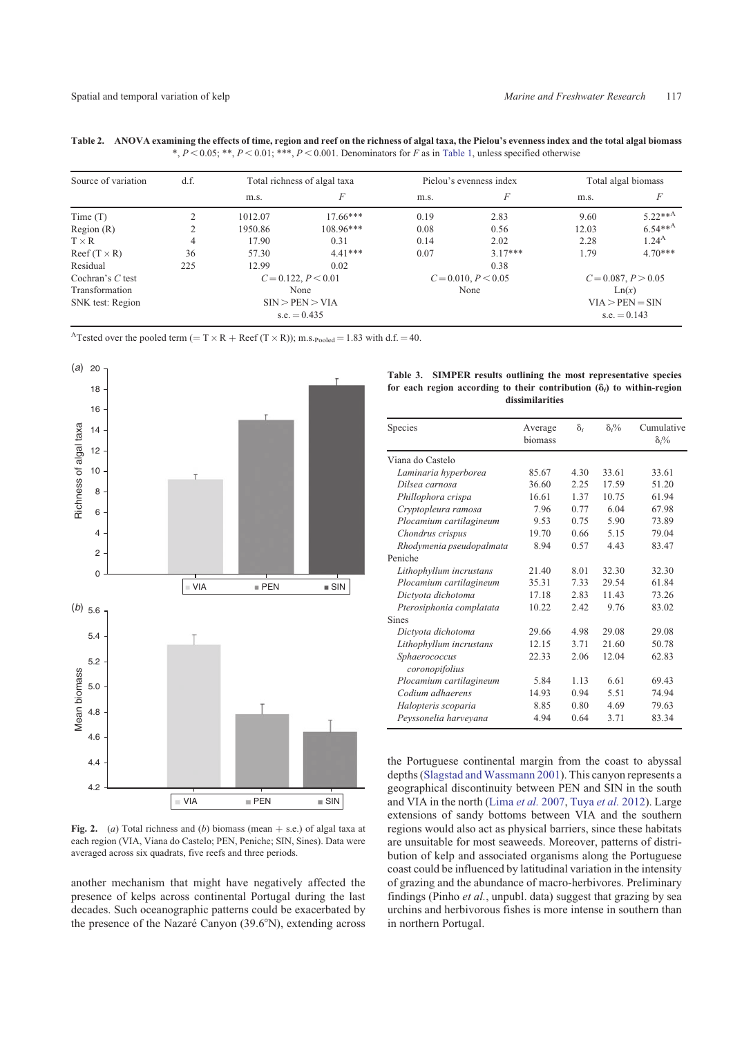<span id="page-4-0"></span>

| Table 2. ANOVA examining the effects of time, region and reef on the richness of algal taxa, the Pielou's evenness index and the total algal biomass |
|------------------------------------------------------------------------------------------------------------------------------------------------------|
| *, $P \le 0.05$ ; **, $P \le 0.01$ ; ***, $P \le 0.001$ . Denominators for F as in Table 1, unless specified otherwise                               |

| Source of variation | d.f.           |         | Total richness of algal taxa |      | Pielou's evenness index |               | Total algal biomass   |  |
|---------------------|----------------|---------|------------------------------|------|-------------------------|---------------|-----------------------|--|
|                     |                | m.s.    | F                            | m.s. | F                       | m.s.          | F                     |  |
| Time(T)             |                | 1012.07 | $1766***$                    | 0.19 | 2.83                    | 9.60          | $5.22**A$             |  |
| Region(R)           |                | 1950.86 | $108.96***$                  | 0.08 | 0.56                    | 12.03<br>2.28 | $6.54**A$             |  |
| $T \times R$        | $\overline{4}$ | 17.90   | 0.31                         | 0.14 | 2.02<br>$3.17***$       |               | $1.24^{A}$            |  |
| Reef $(T \times R)$ | 36             | 57.30   | $4.41***$                    | 0.07 |                         | 1.79          | $4.70***$             |  |
| Residual            | 225            | 12.99   | 0.02                         |      | 0.38                    |               |                       |  |
| Cochran's $C$ test  |                |         | $C = 0.122, P \le 0.01$      |      | $C = 0.010, P \le 0.05$ |               | $C = 0.087, P > 0.05$ |  |
| Transformation      |                |         | None                         |      | None                    | Ln(x)         |                       |  |
| SNK test: Region    |                |         | SIN > PEN > VIA              |      |                         |               | $VIA > PEN = SIN$     |  |
|                     |                |         | s.e. $= 0.435$               |      |                         |               | $s.e. = 0.143$        |  |

<sup>A</sup>Tested over the pooled term (= T  $\times$  R + Reef (T  $\times$  R)); m.s. Pooled = 1.83 with d.f. = 40.



**Fig. 2.** (*a*) Total richness and (*b*) biomass (mean  $+$  s.e.) of algal taxa at each region (VIA, Viana do Castelo; PEN, Peniche; SIN, Sines). Data were averaged across six quadrats, five reefs and three periods.

another mechanism that might have negatively affected the presence of kelps across continental Portugal during the last decades. Such oceanographic patterns could be exacerbated by the presence of the Nazaré Canyon (39.6 $\degree$ N), extending across

|  |  |                 |  |  | Table 3. SIMPER results outlining the most representative species             |
|--|--|-----------------|--|--|-------------------------------------------------------------------------------|
|  |  |                 |  |  | for each region according to their contribution $(\delta_i)$ to within-region |
|  |  | dissimilarities |  |  |                                                                               |

| Species                         | Average<br>biomass | $\delta_i$ | $\delta_i\%$ | Cumulative<br>$\delta_i\%$ |
|---------------------------------|--------------------|------------|--------------|----------------------------|
| Viana do Castelo                |                    |            |              |                            |
| Laminaria hyperborea            | 85.67              | 4.30       | 33.61        | 33.61                      |
| Dilsea carnosa                  | 36.60              | 2.25       | 17.59        | 51.20                      |
| Phillophora crispa              | 16.61              | 1.37       | 10.75        | 61.94                      |
| Cryptopleura ramosa             | 7.96               | 0.77       | 6.04         | 67.98                      |
| Plocamium cartilagineum         | 9.53               | 0.75       | 5.90         | 73.89                      |
| Chondrus crispus                | 19.70              | 0.66       | 5.15         | 79.04                      |
| Rhodymenia pseudopalmata        | 8.94               | 0.57       | 4.43         | 83.47                      |
| Peniche                         |                    |            |              |                            |
| Lithophyllum incrustans         | 21.40              | 8.01       | 32.30        | 32.30                      |
| Plocamium cartilagineum         | 35.31              | 7.33       | 29.54        | 61.84                      |
| Dictyota dichotoma              | 17.18              | 2.83       | 11.43        | 73.26                      |
| Pterosiphonia complatata        | 10.22              | 2.42       | 9.76         | 83.02                      |
| <b>Sines</b>                    |                    |            |              |                            |
| Dictyota dichotoma              | 29.66              | 4.98       | 29.08        | 29.08                      |
| Lithophyllum incrustans         | 12.15              | 3.71       | 21.60        | 50.78                      |
| Sphaerococcus<br>coronopifolius | 22.33              | 2.06       | 12.04        | 62.83                      |
| Plocamium cartilagineum         | 5.84               | 1.13       | 6.61         | 69.43                      |
| Codium adhaerens                | 14.93              | 0.94       | 5.51         | 74.94                      |
| Halopteris scoparia             | 8.85               | 0.80       | 4.69         | 79.63                      |
| Peyssonelia harveyana           | 4.94               | 0.64       | 3.71         | 83.34                      |
|                                 |                    |            |              |                            |

the Portuguese continental margin from the coast to abyssal depths [\(Slagstad and Wassmann 2001](#page-9-0)). This canyon represents a geographical discontinuity between PEN and SIN in the south and VIA in the north [\(Lima](#page-8-0) *et al.* 2007, [Tuya](#page-9-0) *et al.* 2012). Large extensions of sandy bottoms between VIA and the southern regions would also act as physical barriers, since these habitats are unsuitable for most seaweeds. Moreover, patterns of distribution of kelp and associated organisms along the Portuguese coast could be influenced by latitudinal variation in the intensity of grazing and the abundance of macro-herbivores. Preliminary findings (Pinho *et al.*, unpubl. data) suggest that grazing by sea urchins and herbivorous fishes is more intense in southern than in northern Portugal.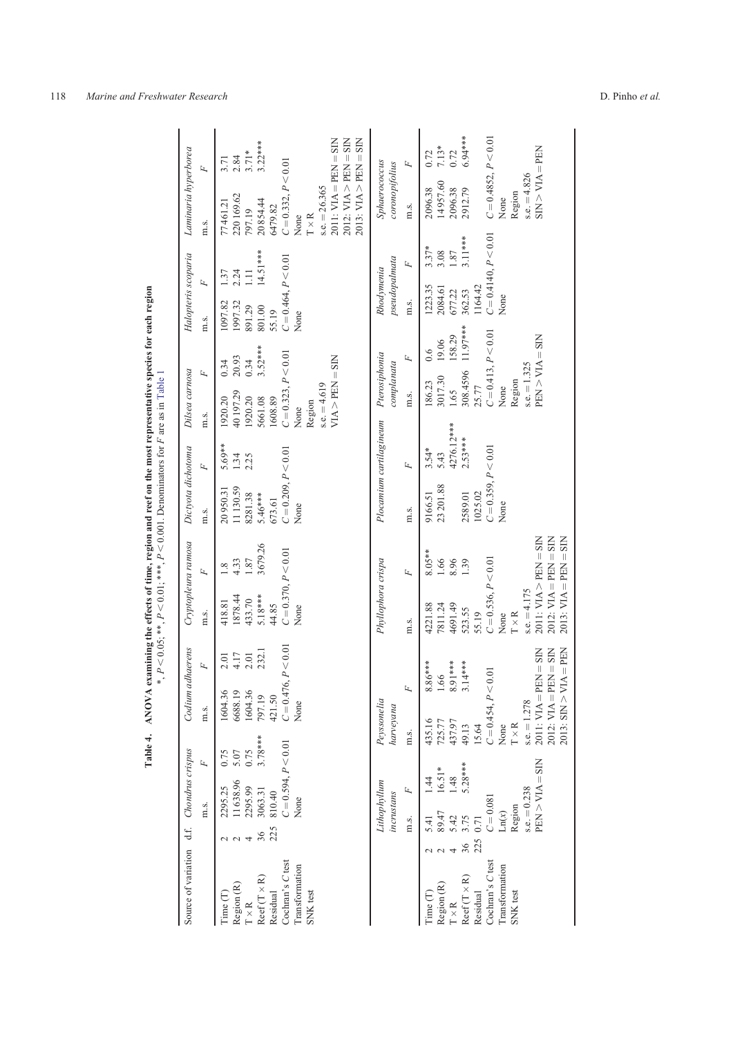| Source of variation d.f. Chondrus crispus                  |                |                            |             | Codium adhaerens          |           |                         | Cryptopleura ramosa | Dictyota dichotoma    |                         | Dilsea carnosa              |                                        | Halopteris scoparia   |                        | Laminaria hyperborea                               |                        |
|------------------------------------------------------------|----------------|----------------------------|-------------|---------------------------|-----------|-------------------------|---------------------|-----------------------|-------------------------|-----------------------------|----------------------------------------|-----------------------|------------------------|----------------------------------------------------|------------------------|
|                                                            |                | m.s.                       | F           | m.s.                      | F         | m.s.                    | Ŀ                   | m.s.                  | $\overline{F}$          | m.s.                        | F                                      | m.s.                  | Ŀ                      | m.s.                                               | Ŀ                      |
| Time $(T)$                                                 |                | 2295.25                    | 0.75        | 1604.36                   | 2.01      | 418.81                  | $\ddot{\circ}$      | 20950.31              | $5.69**$                | 1920.20                     | 0.34                                   | 1097.82               | 1.37                   | 77461.21                                           | 3.71                   |
| Region (R)                                                 |                | 11638.96                   | 5.07        | 6688.19                   | 4.17      | 1878.44                 | 4.33                | 11130.59              | 1.34                    | 40197.29                    | 20.93                                  | 1997.32               | 2.24                   | 220169.62                                          | 2.84                   |
| $T\times R$                                                | 4              | 2295.99                    | 0.75        | 1604.36                   | 2.01      | 433.70                  | 1.87                | 8281.38               | 2.25                    | 1920.20                     | 0.34                                   | 891.29                | $\Xi$                  | 797.19                                             | $3.71*$                |
| Reef $(T \times R)$                                        | 36             | 3063.31                    | $3.78***$   | 797.19                    | 232.1     | $5.18***$               | 3679.26             | $5.46***$             |                         | 5661.08                     | $3.52***$                              | 801.00                | $14.51***$             | 20854.44                                           | $3.22***$              |
| Residual                                                   | 225            | 810.40                     |             | 421.50                    |           | 44.85                   |                     | 673.61                |                         | 1608.89                     |                                        | 55.19                 |                        | 6479.82                                            |                        |
| Cochran's C test                                           |                | $C = 0.594, P < 0.01$      |             | $C = 0.476, P$            | $< 0.01$  | $C = 0.370, P < 0.01$   |                     | $C = 0.209, P < 0.01$ |                         | $C = 0.323, P < 0.01$       |                                        | $C = 0.464, P < 0.01$ |                        | $C = 0.332, P < 0.01$                              |                        |
| Transformation                                             |                | None                       |             | None                      |           | None                    |                     | None                  |                         | None                        |                                        | None                  |                        | None                                               |                        |
| SNK test                                                   |                |                            |             |                           |           |                         |                     |                       |                         | Region                      |                                        |                       |                        | $T\times R$                                        |                        |
|                                                            |                |                            |             |                           |           |                         |                     |                       |                         | s.e. $= 4.619$              |                                        |                       |                        | $s.e. = 26.365$                                    |                        |
|                                                            |                |                            |             |                           |           |                         |                     |                       |                         | $VIA > PEN = SIN$           |                                        |                       |                        | $2011: VIA = PEN = SIN$                            |                        |
|                                                            |                |                            |             |                           |           |                         |                     |                       |                         |                             |                                        |                       |                        | $2012: VIA > PEN = SIN$<br>$2013: VIA > PEN = SIM$ |                        |
|                                                            |                | Lithophyllum<br>incrustans |             | Peyssonelia<br>harveyana  |           | Phyllophora crispa      |                     |                       | Plocamium cartilagineum | Pterosiphonia<br>complanata |                                        | Rhodymenia            | pseudopalmata          | Sphaerococcus<br>coronopifolius                    |                        |
|                                                            | m.s.           | Ŀ                          | m.s.        | Ŀ                         |           | m.s.                    | F                   | m.s.                  | Ŀ                       | m.s.                        | F                                      | m.s.                  | Ŀ                      | m.s.                                               | Ŀ                      |
| Time (T)                                                   | 5.41           | $\frac{44}{3}$             | 435.16      |                           | $8.86***$ | 4221.88                 | $8.05***$           | 9166.51               | $3.54*$                 | 186.23                      | 0.6                                    | 1223.35               | $3.37*$                | 2096.38                                            | 0.72                   |
| $\sim$<br>Region (R)                                       | 89.47          | $16.51*$                   | 725.77      | 1.66                      |           | 7811.24                 | 1.66                | 23 201.88             | 5.43                    | 3017.30                     | 19.06                                  | 2084.61               | 3.08                   | 14957.60                                           | $7.13*$                |
| 4<br>$T\times R$                                           | 5.42           | 1.48                       | 437.97      |                           | 8.91 ***  | 4691.49                 | 8.96                |                       | 4276.12***              | 1.65                        | 158.29                                 | 677.22                | 1.87                   | 2096.38                                            | 0.72                   |
| 36<br>$\text{Reef}\left(\mathbb{T}\times\mathbb{R}\right)$ | 3.75           | $5.28***$                  | 49.13       |                           | $3.14***$ | 523.55                  | 1.39                | 2589.01               | $2.53***$               | 308.4596                    | 11.97****                              | 362.53                | 3.11 ***               | 2912.79                                            | $6.94***$              |
| Residual                                                   | 225 0.71       |                            | 15.64       |                           |           | 55.19                   |                     | 1025.02               |                         | 25.77                       |                                        | 1164.42               |                        |                                                    |                        |
| Cochran's C test                                           |                | $C=0.081$                  |             | $C = 0.454, P < 0.0$      |           | $C = 0.536, P < 0.01$   |                     | $C = 0.359, P < 0.01$ |                         |                             | $C = 0.413, P < 0.01$                  |                       | $C = 0.4140, P < 0.01$ |                                                    | $C = 0.4852, P < 0.01$ |
| Transformation                                             | $\text{Ln}(x)$ |                            | None        |                           |           | None                    |                     | None                  |                         | None                        |                                        | None                  |                        | None                                               |                        |
| SNK test                                                   |                | Region                     | $T\times R$ |                           |           | $T\times R$             |                     |                       |                         | Region                      |                                        |                       |                        | Region                                             |                        |
|                                                            |                | $s.e. = 0.238$             |             | $s.e. = 1.278$            |           | s.e. $= 4.175$          |                     |                       |                         | $s.e. = 1.325$              |                                        |                       |                        | s.e. $= 4.826$                                     |                        |
|                                                            |                | $PEN > VA = SIN$           |             | $2011: VIA = PEN$         | $=$ SIN   | $2011: VIA > PEN = SIM$ |                     |                       |                         |                             | $\text{PEN} > \text{VIA} = \text{SIN}$ |                       |                        | $SIN > VIA = PEN$                                  |                        |
|                                                            |                |                            |             | $2012: VIA = PEN$         | $=$ SIN   | $2012: VA = PEN = SIN$  |                     |                       |                         |                             |                                        |                       |                        |                                                    |                        |
|                                                            |                |                            |             | $2013:$ SIN $>$ VIA = PEN |           | $2013: VIA = PEN = SIN$ |                     |                       |                         |                             |                                        |                       |                        |                                                    |                        |

Table 4.  $\Lambda NOVA$  examining the effects of time, region and reef on the most representative species for each region \*, *P* , $< 0.05;$  \*\*, *P* , $< 0.01$ ; \*\*\*, *P* , $< 0.001$ . Denominators for *F* are as in [Table](#page-2-0) 1

<span id="page-5-0"></span>118 *Marine and Freshwater Research* D. Pinho *et al.*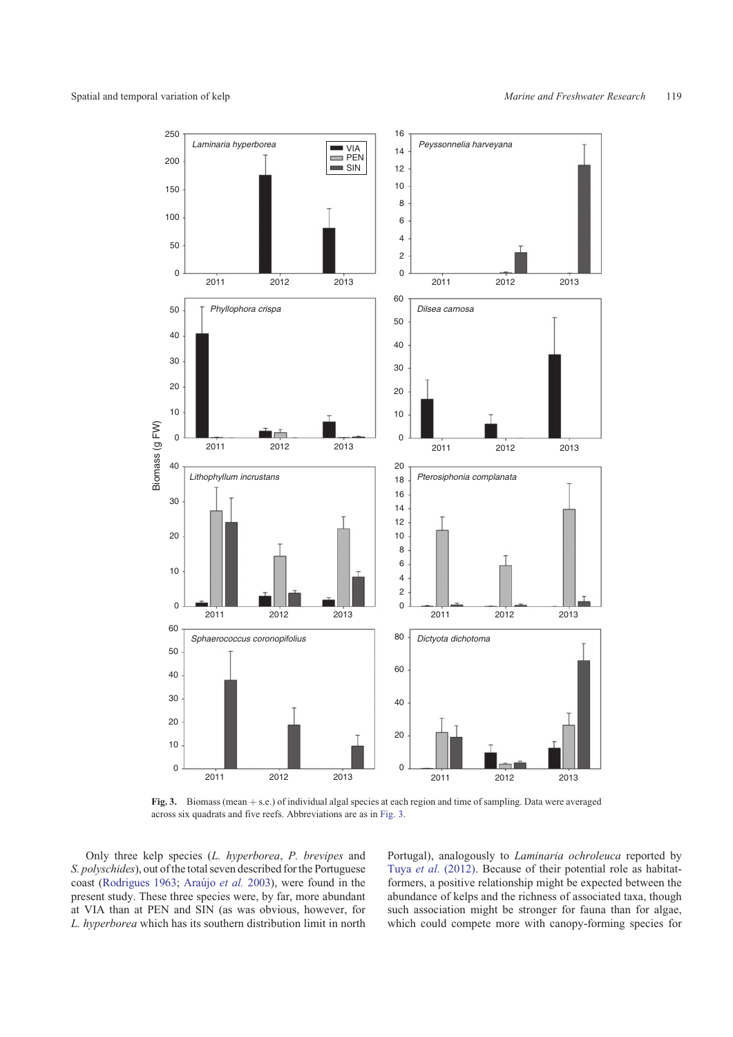<span id="page-6-0"></span>

**Fig. 3.** Biomass (mean + s.e.) of individual algal species at each region and time of sampling. Data were averaged across six quadrats and five reefs. Abbreviations are as in Fig. 3.

Only three kelp species (*L. hyperborea*, *P. brevipes* and *S. polyschides*), out of the total seven described for the Portuguese coast [\(Rodrigues 1963](#page-9-0); [Arau´jo](#page-8-0) *et al.* 2003), were found in the present study. These three species were, by far, more abundant at VIA than at PEN and SIN (as was obvious, however, for *L. hyperborea* which has its southern distribution limit in north Portugal), analogously to *Laminaria ochroleuca* reported by Tuya *et al.* [\(2012\)](#page-9-0). Because of their potential role as habitatformers, a positive relationship might be expected between the abundance of kelps and the richness of associated taxa, though such association might be stronger for fauna than for algae, which could compete more with canopy-forming species for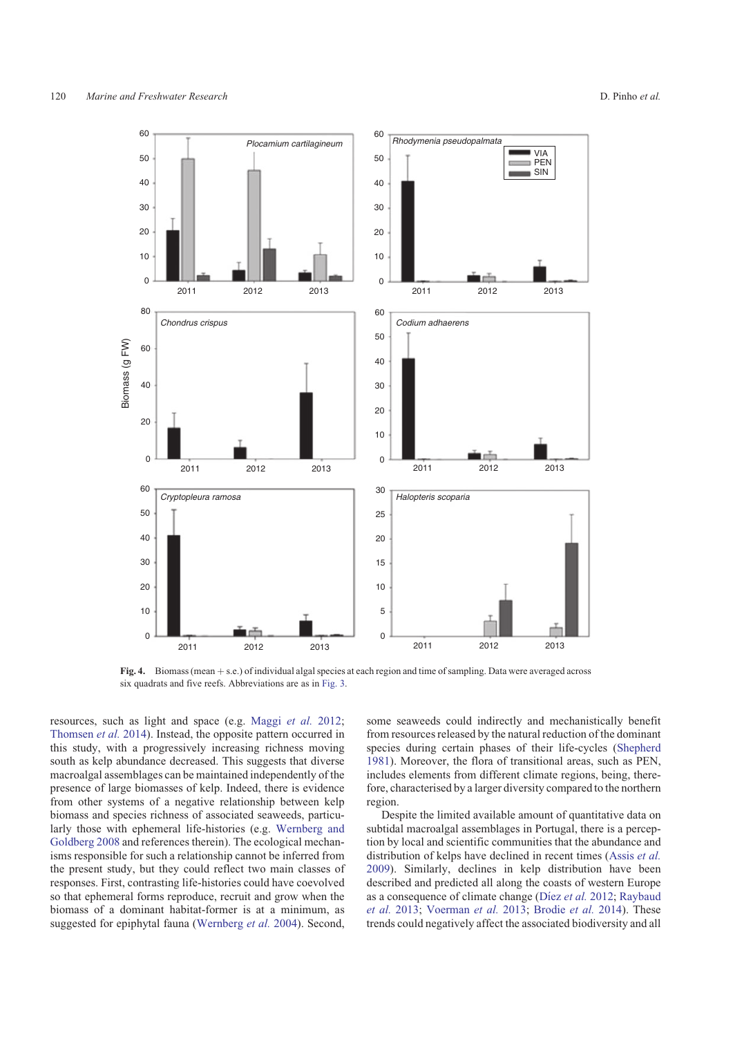<span id="page-7-0"></span>

Fig. 4. Biomass (mean + s.e.) of individual algal species at each region and time of sampling. Data were averaged across six quadrats and five reefs. Abbreviations are as in [Fig. 3](#page-6-0).

resources, such as light and space (e.g. [Maggi](#page-8-0) *et al.* 2012; [Thomsen](#page-9-0) *et al.* 2014). Instead, the opposite pattern occurred in this study, with a progressively increasing richness moving south as kelp abundance decreased. This suggests that diverse macroalgal assemblages can be maintained independently of the presence of large biomasses of kelp. Indeed, there is evidence from other systems of a negative relationship between kelp biomass and species richness of associated seaweeds, particularly those with ephemeral life-histories (e.g. [Wernberg and](#page-9-0) [Goldberg 2008](#page-9-0) and references therein). The ecological mechanisms responsible for such a relationship cannot be inferred from the present study, but they could reflect two main classes of responses. First, contrasting life-histories could have coevolved so that ephemeral forms reproduce, recruit and grow when the biomass of a dominant habitat-former is at a minimum, as suggested for epiphytal fauna ([Wernberg](#page-9-0) *et al.* 2004). Second,

some seaweeds could indirectly and mechanistically benefit from resources released by the natural reduction of the dominant species during certain phases of their life-cycles [\(Shepherd](#page-9-0) [1981\)](#page-9-0). Moreover, the flora of transitional areas, such as PEN, includes elements from different climate regions, being, therefore, characterised by a larger diversity compared to the northern region.

Despite the limited available amount of quantitative data on subtidal macroalgal assemblages in Portugal, there is a perception by local and scientific communities that the abundance and distribution of kelps have declined in recent times ([Assis](#page-8-0) *et al.* [2009\)](#page-8-0). Similarly, declines in kelp distribution have been described and predicted all along the coasts of western Europe as a consequence of climate change (Diez *[et al.](#page-8-0)* 2012; [Raybaud](#page-9-0) *[et al.](#page-9-0)* 2013; [Voerman](#page-9-0) *et al.* 2013; [Brodie](#page-8-0) *et al.* 2014). These trends could negatively affect the associated biodiversity and all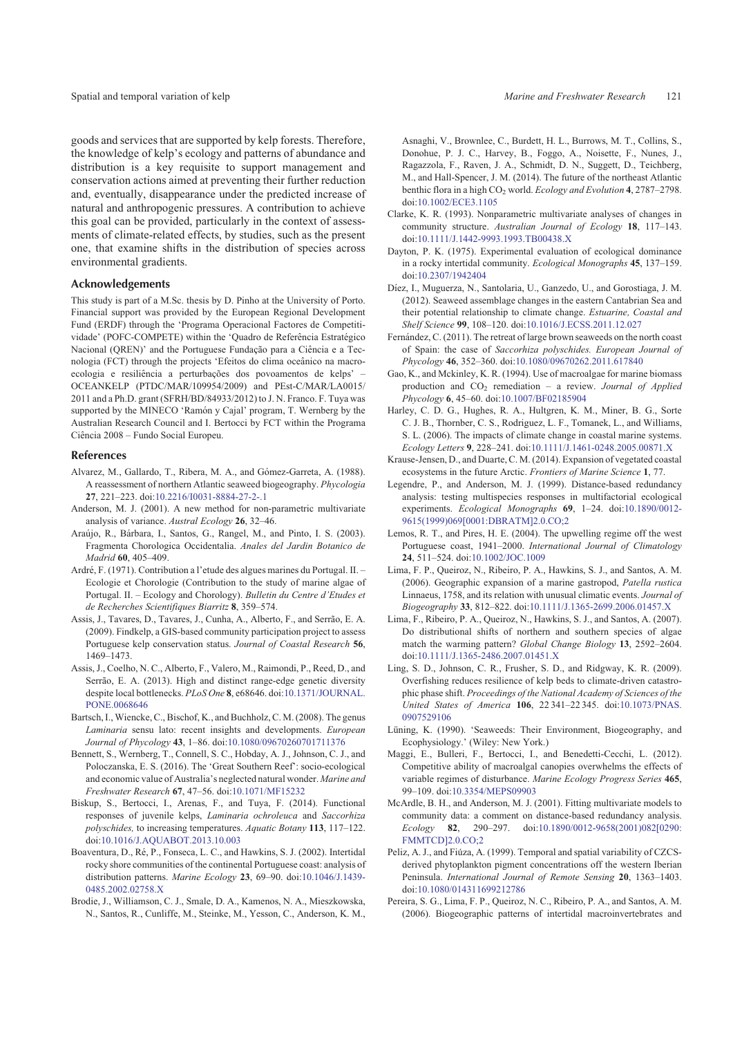<span id="page-8-0"></span>goods and services that are supported by kelp forests. Therefore, the knowledge of kelp's ecology and patterns of abundance and distribution is a key requisite to support management and conservation actions aimed at preventing their further reduction and, eventually, disappearance under the predicted increase of natural and anthropogenic pressures. A contribution to achieve this goal can be provided, particularly in the context of assessments of climate-related effects, by studies, such as the present one, that examine shifts in the distribution of species across environmental gradients.

## Acknowledgements

This study is part of a M.Sc. thesis by D. Pinho at the University of Porto. Financial support was provided by the European Regional Development Fund (ERDF) through the 'Programa Operacional Factores de Competitividade' (POFC-COMPETE) within the 'Quadro de Referência Estratégico Nacional (QREN)' and the Portuguese Fundação para a Ciência e a Tecnologia (FCT) through the projects 'Efeitos do clima oceânico na macroecologia e resiliência a perturbações dos povoamentos de kelps' -OCEANKELP (PTDC/MAR/109954/2009) and PEst-C/MAR/LA0015/ 2011 and a Ph.D. grant (SFRH/BD/84933/2012) to J. N. Franco. F. Tuya was supported by the MINECO 'Ramón y Cajal' program, T. Wernberg by the Australian Research Council and I. Bertocci by FCT within the Programa Ciência 2008 – Fundo Social Europeu.

#### References

- Alvarez, M., Gallardo, T., Ribera, M. A., and Gómez-Garreta, A. (1988). A reassessment of northern Atlantic seaweed biogeography. *Phycologia* **27**, 221–223. doi[:10.2216/I0031-8884-27-2-.1](http://dx.doi.org/10.2216/I0031-8884-27-2-.1)
- Anderson, M. J. (2001). A new method for non-parametric multivariate analysis of variance. *Austral Ecology* **26**, 32–46.
- Araújo, R., Bárbara, I., Santos, G., Rangel, M., and Pinto, I. S. (2003). Fragmenta Chorologica Occidentalia. *Anales del Jardin Botanico de Madrid* **60**, 405–409.
- Ardré, F. (1971). Contribution a l'etude des algues marines du Portugal. II. Ecologie et Chorologie (Contribution to the study of marine algae of Portugal. II. – Ecology and Chorology). *Bulletin du Centre d'Etudes et de Recherches Scientifiques Biarritz* **8**, 359–574.
- Assis, J., Tavares, D., Tavares, J., Cunha, A., Alberto, F., and Serrão, E. A. (2009). Findkelp, a GIS-based community participation project to assess Portuguese kelp conservation status. *Journal of Coastal Research* **56**, 1469–1473.
- Assis, J., Coelho, N. C., Alberto, F., Valero, M., Raimondi, P., Reed, D., and Serrão, E. A. (2013). High and distinct range-edge genetic diversity despite local bottlenecks. *PLoS One* **8**, e68646. doi:[10.1371/JOURNAL.](http://dx.doi.org/10.1371/JOURNAL.PONE.0068646) [PONE.0068646](http://dx.doi.org/10.1371/JOURNAL.PONE.0068646)
- Bartsch, I.,Wiencke, C., Bischof, K., and Buchholz, C. M. (2008). The genus *Laminaria* sensu lato: recent insights and developments. *European Journal of Phycology* **43**, 1–86. doi[:10.1080/09670260701711376](http://dx.doi.org/10.1080/09670260701711376)
- Bennett, S., Wernberg, T., Connell, S. C., Hobday, A. J., Johnson, C. J., and Poloczanska, E. S. (2016). The 'Great Southern Reef': socio-ecological and economic value of Australia's neglected natural wonder. *Marine and Freshwater Research* **67**, 47–56. doi:[10.1071/MF15232](http://dx.doi.org/10.1071/MF15232)
- Biskup, S., Bertocci, I., Arenas, F., and Tuya, F. (2014). Functional responses of juvenile kelps, *Laminaria ochroleuca* and *Saccorhiza polyschides,* to increasing temperatures. *Aquatic Botany* **113**, 117–122. doi[:10.1016/J.AQUABOT.2013.10.003](http://dx.doi.org/10.1016/J.AQUABOT.2013.10.003)
- Boaventura, D., Ré, P., Fonseca, L. C., and Hawkins, S. J. (2002). Intertidal rocky shore communities of the continental Portuguese coast: analysis of distribution patterns. *Marine Ecology* **23**, 69–90. doi[:10.1046/J.1439-](http://dx.doi.org/10.1046/J.1439-0485.2002.02758.X) [0485.2002.02758.X](http://dx.doi.org/10.1046/J.1439-0485.2002.02758.X)
- Brodie, J., Williamson, C. J., Smale, D. A., Kamenos, N. A., Mieszkowska, N., Santos, R., Cunliffe, M., Steinke, M., Yesson, C., Anderson, K. M.,

Asnaghi, V., Brownlee, C., Burdett, H. L., Burrows, M. T., Collins, S., Donohue, P. J. C., Harvey, B., Foggo, A., Noisette, F., Nunes, J., Ragazzola, F., Raven, J. A., Schmidt, D. N., Suggett, D., Teichberg, M., and Hall-Spencer, J. M. (2014). The future of the northeast Atlantic benthic flora in a high CO<sub>2</sub> world. *Ecology and Evolution* **4**, 2787–2798. doi[:10.1002/ECE3.1105](http://dx.doi.org/10.1002/ECE3.1105)

- Clarke, K. R. (1993). Nonparametric multivariate analyses of changes in community structure. *Australian Journal of Ecology* **18**, 117–143. doi[:10.1111/J.1442-9993.1993.TB00438.X](http://dx.doi.org/10.1111/J.1442-9993.1993.TB00438.X)
- Dayton, P. K. (1975). Experimental evaluation of ecological dominance in a rocky intertidal community. *Ecological Monographs* **45**, 137–159. doi[:10.2307/1942404](http://dx.doi.org/10.2307/1942404)
- Díez, I., Muguerza, N., Santolaria, U., Ganzedo, U., and Gorostiaga, J. M. (2012). Seaweed assemblage changes in the eastern Cantabrian Sea and their potential relationship to climate change. *Estuarine, Coastal and Shelf Science* **99**, 108–120. doi:[10.1016/J.ECSS.2011.12.027](http://dx.doi.org/10.1016/J.ECSS.2011.12.027)
- Fernández, C. (2011). The retreat of large brown seaweeds on the north coast of Spain: the case of *Saccorhiza polyschides. European Journal of Phycology* **46**, 352–360. doi:[10.1080/09670262.2011.617840](http://dx.doi.org/10.1080/09670262.2011.617840)
- Gao, K., and Mckinley, K. R. (1994). Use of macroalgae for marine biomass production and CO<sub>2</sub> remediation – a review. *Journal of Applied Phycology* **6**, 45–60. doi:[10.1007/BF02185904](http://dx.doi.org/10.1007/BF02185904)
- Harley, C. D. G., Hughes, R. A., Hultgren, K. M., Miner, B. G., Sorte C. J. B., Thornber, C. S., Rodriguez, L. F., Tomanek, L., and Williams, S. L. (2006). The impacts of climate change in coastal marine systems. *Ecology Letters* **9**, 228–241. doi[:10.1111/J.1461-0248.2005.00871.X](http://dx.doi.org/10.1111/J.1461-0248.2005.00871.X)
- Krause-Jensen, D., and Duarte, C. M. (2014). Expansion of vegetated coastal ecosystems in the future Arctic. *Frontiers of Marine Science* **1**, 77.
- Legendre, P., and Anderson, M. J. (1999). Distance-based redundancy analysis: testing multispecies responses in multifactorial ecological experiments. *Ecological Monographs* **69**, 1–24. doi[:10.1890/0012-](http://dx.doi.org/10.1890/0012-9615(1999)069[0001:DBRATM]2.0.CO;2) [9615\(1999\)069\[0001:DBRATM\]2.0.CO;2](http://dx.doi.org/10.1890/0012-9615(1999)069[0001:DBRATM]2.0.CO;2)
- Lemos, R. T., and Pires, H. E. (2004). The upwelling regime off the west Portuguese coast, 1941–2000. *International Journal of Climatology* **24**, 511–524. doi[:10.1002/JOC.1009](http://dx.doi.org/10.1002/JOC.1009)
- Lima, F. P., Queiroz, N., Ribeiro, P. A., Hawkins, S. J., and Santos, A. M. (2006). Geographic expansion of a marine gastropod, *Patella rustica* Linnaeus, 1758, and its relation with unusual climatic events. *Journal of Biogeography* **33**, 812–822. doi[:10.1111/J.1365-2699.2006.01457.X](http://dx.doi.org/10.1111/J.1365-2699.2006.01457.X)
- Lima, F., Ribeiro, P. A., Queiroz, N., Hawkins, S. J., and Santos, A. (2007). Do distributional shifts of northern and southern species of algae match the warming pattern? *Global Change Biology* **13**, 2592–2604. doi[:10.1111/J.1365-2486.2007.01451.X](http://dx.doi.org/10.1111/J.1365-2486.2007.01451.X)
- Ling, S. D., Johnson, C. R., Frusher, S. D., and Ridgway, K. R. (2009). Overfishing reduces resilience of kelp beds to climate-driven catastrophic phase shift. *Proceedings of the National Academy of Sciences of the United States of America* **106**, 22 341–22 345. doi:[10.1073/PNAS.](http://dx.doi.org/10.1073/PNAS.0907529106) [0907529106](http://dx.doi.org/10.1073/PNAS.0907529106)
- Lüning, K. (1990). 'Seaweeds: Their Environment, Biogeography, and Ecophysiology.' (Wiley: New York.)
- Maggi, E., Bulleri, F., Bertocci, I., and Benedetti-Cecchi, L. (2012). Competitive ability of macroalgal canopies overwhelms the effects of variable regimes of disturbance. *Marine Ecology Progress Series* **465**, 99–109. doi[:10.3354/MEPS09903](http://dx.doi.org/10.3354/MEPS09903)
- McArdle, B. H., and Anderson, M. J. (2001). Fitting multivariate models to community data: a comment on distance-based redundancy analysis. *Ecology* **82**, 290–297. doi[:10.1890/0012-9658\(2001\)082\[0290:](http://dx.doi.org/10.1890/0012-9658(2001)082[0290:FMMTCD]2.0.CO;2) [FMMTCD\]2.0.CO;2](http://dx.doi.org/10.1890/0012-9658(2001)082[0290:FMMTCD]2.0.CO;2)
- Peliz, A. J., and Fiúza, A. (1999). Temporal and spatial variability of CZCSderived phytoplankton pigment concentrations off the western Iberian Peninsula. *International Journal of Remote Sensing* **20**, 1363–1403. doi[:10.1080/014311699212786](http://dx.doi.org/10.1080/014311699212786)
- Pereira, S. G., Lima, F. P., Queiroz, N. C., Ribeiro, P. A., and Santos, A. M. (2006). Biogeographic patterns of intertidal macroinvertebrates and